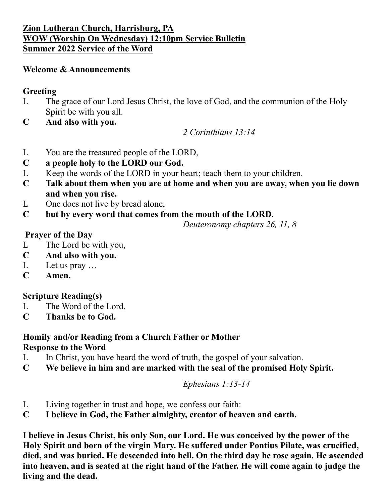#### **Zion Lutheran Church, Harrisburg, PA WOW (Worship On Wednesday) 12:10pm Service Bulletin Summer 2022 Service of the Word**

#### **Welcome & Announcements**

### **Greeting**

- L The grace of our Lord Jesus Christ, the love of God, and the communion of the Holy Spirit be with you all.
- **C And also with you.**

*2 Corinthians 13:14*

- L You are the treasured people of the LORD,
- **C a people holy to the LORD our God.**
- L Keep the words of the LORD in your heart; teach them to your children.
- **C Talk about them when you are at home and when you are away, when you lie down and when you rise.**
- L One does not live by bread alone,
- **C but by every word that comes from the mouth of the LORD.**

*Deuteronomy chapters 26, 11, 8*

## **Prayer of the Day**

- L The Lord be with you,
- **C And also with you.**
- L Let us pray ...
- **C Amen.**

## **Scripture Reading(s)**

- L The Word of the Lord.
- **C Thanks be to God.**

#### **Homily and/or Reading from a Church Father or Mother Response to the Word**

- L In Christ, you have heard the word of truth, the gospel of your salvation.
- **C We believe in him and are marked with the seal of the promised Holy Spirit.**

## *Ephesians 1:13-14*

- L Living together in trust and hope, we confess our faith:
- **C I believe in God, the Father almighty, creator of heaven and earth.**

**I believe in Jesus Christ, his only Son, our Lord. He was conceived by the power of the Holy Spirit and born of the virgin Mary. He suffered under Pontius Pilate, was crucified, died, and was buried. He descended into hell. On the third day he rose again. He ascended into heaven, and is seated at the right hand of the Father. He will come again to judge the living and the dead.**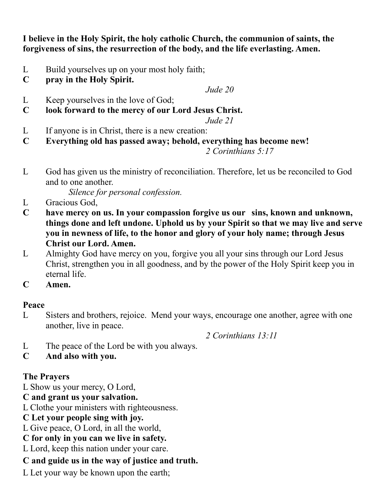**I believe in the Holy Spirit, the holy catholic Church, the communion of saints, the forgiveness of sins, the resurrection of the body, and the life everlasting. Amen.**

- L Build yourselves up on your most holy faith;
- **C pray in the Holy Spirit.**

*Jude 20*

- L Keep yourselves in the love of God;
- **C look forward to the mercy of our Lord Jesus Christ.**

*Jude 21*

- L If anyone is in Christ, there is a new creation:
- **C Everything old has passed away; behold, everything has become new!**

*2 Corinthians 5:17*

L God has given us the ministry of reconciliation. Therefore, let us be reconciled to God and to one another.

*Silence for personal confession.*

- L Gracious God,
- **C have mercy on us. In your compassion forgive us our sins, known and unknown, things done and left undone. Uphold us by your Spirit so that we may live and serve you in newness of life, to the honor and glory of your holy name; through Jesus Christ our Lord. Amen.**
- L Almighty God have mercy on you, forgive you all your sins through our Lord Jesus Christ, strengthen you in all goodness, and by the power of the Holy Spirit keep you in eternal life.
- **C Amen.**

## **Peace**

L Sisters and brothers, rejoice. Mend your ways, encourage one another, agree with one another, live in peace.

*2 Corinthians 13:11*

- L The peace of the Lord be with you always.
- **C And also with you.**

## **The Prayers**

L Show us your mercy, O Lord,

# **C and grant us your salvation.**

L Clothe your ministers with righteousness.

- **C Let your people sing with joy.**
- L Give peace, O Lord, in all the world,
- **C for only in you can we live in safety.**

L Lord, keep this nation under your care.

## **C and guide us in the way of justice and truth.**

L Let your way be known upon the earth;